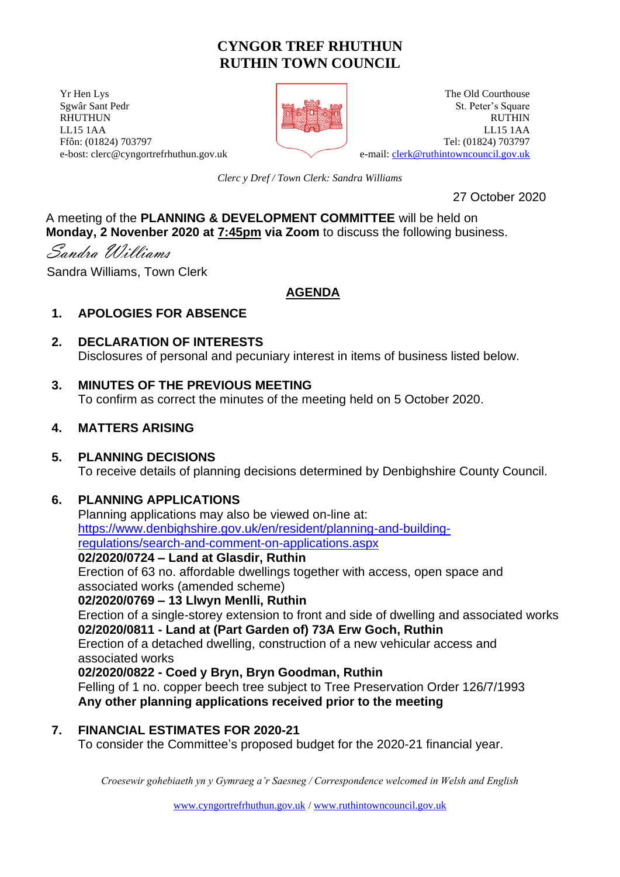# **CYNGOR TREF RHUTHUN RUTHIN TOWN COUNCIL**

**The Old Courthouse** The Old Courthouse **The Old Courthouse** Sgwâr Sant Pedr St. Peter's Square RHUTHUN RUTHIN LL15 1AA LL15 1AA Ffôn: (01824) 703797 Tel: (01824) 703797 e-bost: clerc@cyngortrefrhuthun.gov.uk e-mail: [clerk@ruthintowncouncil.gov.uk](mailto:clerk@ruthintowncouncil.gov.uk)



*Clerc y Dref / Town Clerk: Sandra Williams*

27 October 2020

#### A meeting of the **PLANNING & DEVELOPMENT COMMITTEE** will be held on **Monday, 2 Novenber 2020 at 7:45pm via Zoom** to discuss the following business.

Sandra Williams

Sandra Williams, Town Clerk

## **AGENDA**

## **1. APOLOGIES FOR ABSENCE**

**2. DECLARATION OF INTERESTS**  Disclosures of personal and pecuniary interest in items of business listed below.

## **3. MINUTES OF THE PREVIOUS MEETING**

To confirm as correct the minutes of the meeting held on 5 October 2020.

## **4. MATTERS ARISING**

## **5. PLANNING DECISIONS**

To receive details of planning decisions determined by Denbighshire County Council.

## **6. PLANNING APPLICATIONS**

Planning applications may also be viewed on-line at: [https://www.denbighshire.gov.uk/en/resident/planning-and-building](https://www.denbighshire.gov.uk/en/resident/planning-and-building-regulations/search-and-comment-on-applications.aspx)[regulations/search-and-comment-on-applications.aspx](https://www.denbighshire.gov.uk/en/resident/planning-and-building-regulations/search-and-comment-on-applications.aspx) 

#### **02/2020/0724 – Land at Glasdir, Ruthin**

Erection of 63 no. affordable dwellings together with access, open space and associated works (amended scheme)

#### **02/2020/0769 – 13 Llwyn Menlli, Ruthin**

Erection of a single-storey extension to front and side of dwelling and associated works **02/2020/0811 - Land at (Part Garden of) 73A Erw Goch, Ruthin** Erection of a detached dwelling, construction of a new vehicular access and associated works **02/2020/0822 - Coed y Bryn, Bryn Goodman, Ruthin**

Felling of 1 no. copper beech tree subject to Tree Preservation Order 126/7/1993 **Any other planning applications received prior to the meeting**

## **7. FINANCIAL ESTIMATES FOR 2020-21**

To consider the Committee's proposed budget for the 2020-21 financial year.

*Croesewir gohebiaeth yn y Gymraeg a'r Saesneg / Correspondence welcomed in Welsh and English*